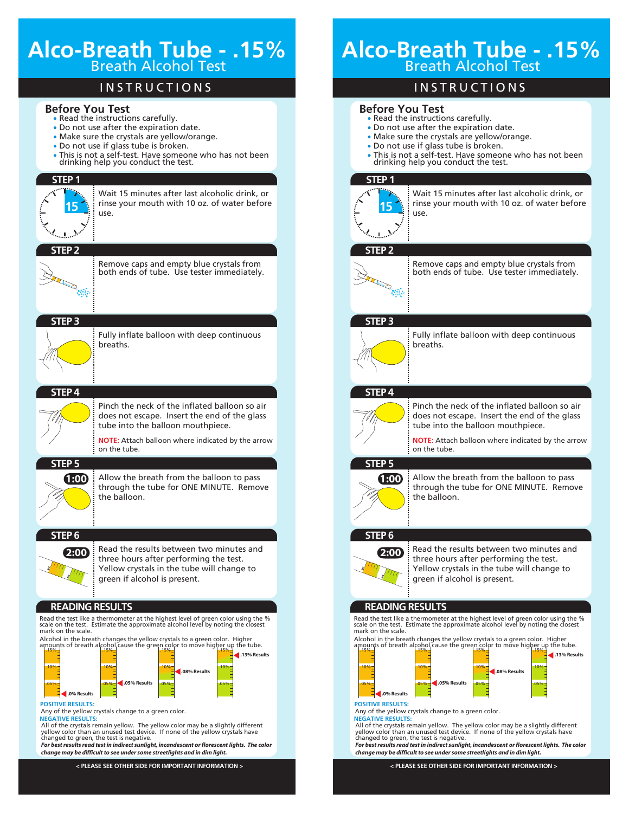# **Alco-Breath Tube - .15%** Breath Alcohol Test

## I N S T R U C T I O N S

#### **Before You Test**

- Read the instructions carefully.
- Do not use after the expiration date.
- Make sure the crystals are yellow/orange.
- Do not use if glass tube is broken.
- This is not a self-test. Have someone who has not been drinking help you conduct the test.



All of the crystals remain yellow. The yellow color may be a slightly different yellow color than an unused test device. If none of the yellow crystals have changed to green, the test is negative.

*For best results read test in indirect sunlight, incandescent or florescent lights. The color change may be difficult to see under some streetlights and in dim light.*

*For best results read test in indirect sunlight, incandescent or florescent lights.*  **< PLEASE SEE OTHER SIDE FOR IMPORTANT INFORMATION >**

# **Alco-Breath Tube - .15%** Breath Alcohol Test

### I N S T R U C T I O N S